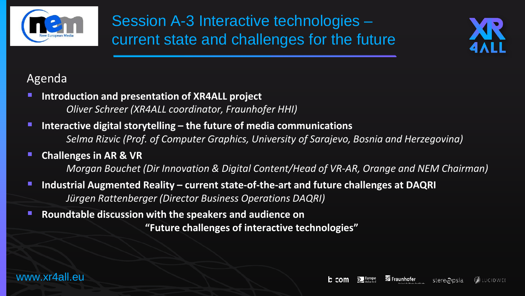

Session A-3 Interactive technologies – current state and challenges for the future



### Agenda

- **Introduction and presentation of XR4ALL project**  *Oliver Schreer (XR4ALL coordinator, Fraunhofer HHI)*
- **Interactive digital storytelling – the future of media communications** *Selma Rizvic (Prof. of Computer Graphics, University of Sarajevo, Bosnia and Herzegovina)*
- **Challenges in AR & VR**

*Morgan Bouchet (Dir Innovation & Digital Content/Head of VR-AR, Orange and NEM Chairman)*

- **Industrial Augmented Reality – current state-of-the-art and future challenges at DAQRI** *Jürgen Rattenberger (Director Business Operations DAQRI)*
- **Roundtable discussion with the speakers and audience on "Future challenges of interactive technologies"**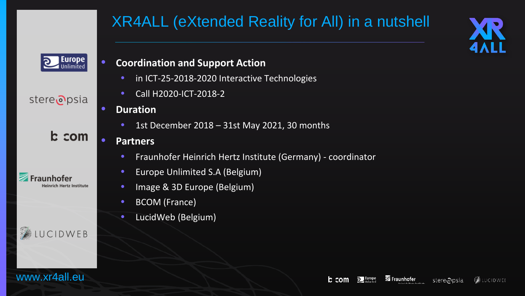# XR4ALL (eXtended Reality for All) in a nutshell





stere opsia

**b** com

**Heinrich Hertz Institute** 

LUCIDWEB

www.xr4all.eu

Fraunhofer

#### • **Coordination and Support Action**

- in ICT-25-2018-2020 Interactive Technologies
- Call H2020-ICT-2018-2

#### • **Duration**

• 1st December 2018 – 31st May 2021, 30 months

#### • **Partners**

- Fraunhofer Heinrich Hertz Institute (Germany) coordinator
- Europe Unlimited S.A (Belgium)
- Image & 3D Europe (Belgium)
- BCOM (France)
- LucidWeb (Belgium)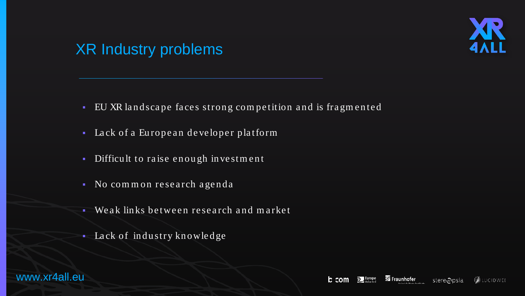

## XR Industry problems

- EU XR landscape faces strong competition and is fragmented
- Lack of a European developer platform
- Difficult to raise enough investment
- No common research agenda
- Weak links between research and market
- **Lack of industry knowledge**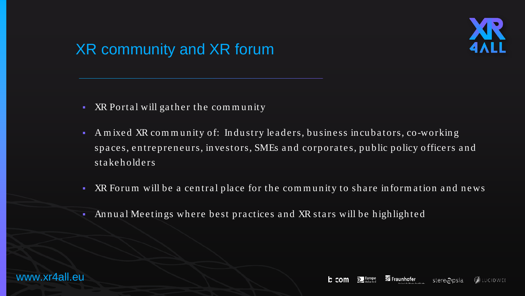

## XR community and XR forum

- $\blacksquare$  XR Portal will gather the community
- A mixed XR community of: Industry leaders, business incubators, co-working spaces, entrepreneurs, investors, SMEs and corporates, public policy officers and stakeholders
- **XR** Forum will be a central place for the community to share information and news
- Annual Meetings where best practices and XR stars will be highlighted

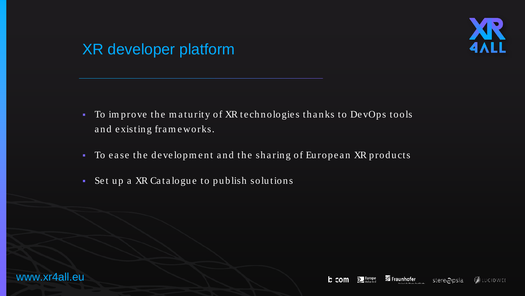

## XR developer platform

- To improve the maturity of XR technologies thanks to DevOps tools and existing frameworks.
- To ease the development and the sharing of European XR products
- Set up a XR Catalogue to publish solutions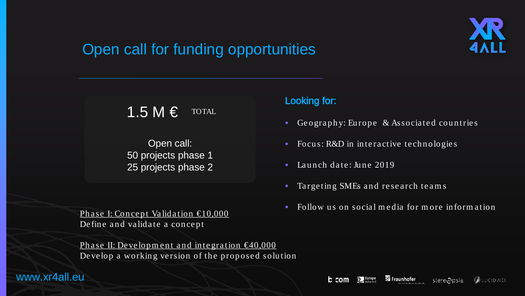

## Open call for funding opportunities

1.5  $M \in \text{total}$ 

Open call: 50 projects phase 1 25 projects phase 2

Phase I: Concept Validation  $\epsilon 10,000$ De fine and validate a concept

Phase II: Development and integration  $\epsilon 40,000$ De velop a working version of the proposed solution

Looking for:

- Geography: Europe  $\&$  Associated countries
- Focus: R&D in interactive technologies
- $\blacksquare$  Launch date: June 2019
- **Targeting SMEs and research teams**
- Follow us on social media for more information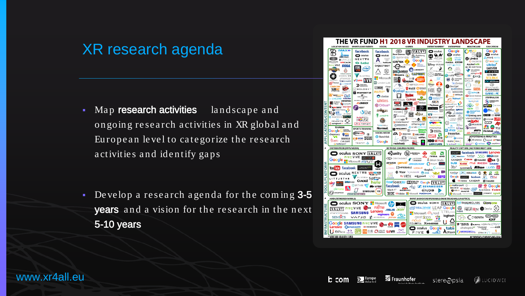### XR research agenda

- Map research activities landscape and ongoing research activities in XR global and Eu rope an level to categorize the research activities and identify gaps
- Develop a research agenda for the coming 3-5 years and a vision for the research in the next 5-10 years

| THE VR FUND H1 2018 VR INDUSTRY LANDSCAPE |                                                                                     |                                                   |                                                     |                                                                                                |                                                                                                                                     |                                               |                                                       |                                                                                          |                                            |
|-------------------------------------------|-------------------------------------------------------------------------------------|---------------------------------------------------|-----------------------------------------------------|------------------------------------------------------------------------------------------------|-------------------------------------------------------------------------------------------------------------------------------------|-----------------------------------------------|-------------------------------------------------------|------------------------------------------------------------------------------------------|--------------------------------------------|
|                                           | <b>LOCATION BASED</b>                                                               | <b>SPORTS/LIVE EVENTS</b>                         | <b>SOCIAL</b>                                       |                                                                                                | <b>GAMES</b>                                                                                                                        | <b>ENTERTAINMENT</b>                          | <b>ENTERPRISE</b>                                     | <b>HEALTHCARE</b>                                                                        | <b>EDUCATION</b>                           |
|                                           | <b>DIMAX®</b><br>◫                                                                  | facebook.                                         | facebook.                                           |                                                                                                | <b>END VALVE</b>                                                                                                                    | culus                                         | Google                                                | VIVID                                                                                    | Google                                     |
|                                           | <b>PZERO</b>                                                                        | $\bullet$ oculus                                  | $\bullet$ oculus                                    | <b>B</b> SURVIOS                                                                               | Oulchemy<br>Balabs                                                                                                                  | ወችተ                                           | $\bullet$ oculus<br>$\otimes$ then                    | PSIONS                                                                                   | $\bullet$ oculus<br><b>AVIVEARTS</b>       |
|                                           | an<br><b>OSPACES</b><br>DREAMSCAPE VRCADE                                           | NEXTWR                                            | W<br>А                                              | CRYTEK <sup>(6</sup> )                                                                         | Google                                                                                                                              | <b>DE FELIX &amp; PAUL</b><br>Here Be Dragons | <b>NVIDIA. AZCOM</b>                                  | <b>△</b> Limbix<br>O PHOBOS                                                              | <b><i>Dinegrood</i></b>                    |
|                                           | <b>hTCVIVE SEEA</b>                                                                 | <b>S</b> livelice                                 | - TheWaveWi<br>bigscreen                            | <b>BETHEBOA</b>                                                                                | association of the biographic                                                                                                       | Disney PIXAR                                  | <b>VIRTUALITICS</b>                                   | Applied V <sub>R</sub>                                                                   | Lifelige <sup>7</sup>                      |
|                                           | mt Chin<br>ሌ                                                                        | <b>FOX</b><br>(intel)                             |                                                     |                                                                                                | <b>INSOMING</b> O UBISOFT                                                                                                           | $X$ )                                         | $\bullet$                                             | <b>B 3D SYSTEMS</b><br><b>WEARIOUS</b>                                                   | <b>LABSTER</b>                             |
|                                           | <b>TWO BIT CIRCUS</b>                                                               |                                                   | $\circled{\scriptstyle\mathrm{H}}$<br>HIGH FIDELITY |                                                                                                |                                                                                                                                     | <b>O</b> SECRET                               | InsiteW <b>AND</b>                                    | echophoel                                                                                | <b>WVIVEDU</b>                             |
|                                           | 3<br><b>MODAL VR</b><br>$\mathcal O$ LONGZE                                         | SLIVER <sub>tv</sub>                              | Microsoft                                           |                                                                                                | <b>nDreams CAPCOM</b>                                                                                                               | <u>្ទ</u>                                     | J IrisVR <b>GTRIVA</b>                                | <b>O</b> DssQ<br><b>REVECHICS</b>                                                        | <b>GIBLIBI</b><br><b>SCILIRA)</b>          |
|                                           | YMGAMES                                                                             | <b>VRUVE SVITE</b>                                | <b>B</b> Linden Lab                                 | ENERGY THE THE THE THE                                                                         | <b>HILL BANDAL</b>                                                                                                                  | ▲                                             | <b>TTI</b> & WANTAGE                                  | LEVEL EX                                                                                 | <b>ME IEUCATION</b>                        |
|                                           | NIESE VRIGHT                                                                        | $\mathbf{D}$ DIGITAL                              |                                                     |                                                                                                | <b>C VERTICO CAMES</b>                                                                                                              | Spotlage <b>C</b>                             | -InContext<br><b>Za</b> ZeroLight                     | $\Rightarrow$ while                                                                      | ⊗<br><b>ROILEVARD</b>                      |
|                                           | <b>DBOX</b>                                                                         | $\boxed{\omega}$ MELODY <sup>v</sup>              | or <b>Braza</b> Vlime                               |                                                                                                | g gumi <b>Omma</b><br>Ocolopi Ostersta Loss                                                                                         | FABLE CO                                      | <b>CD ARCH VIRTUAL</b>                                | SANGHE RINGE                                                                             | <b>UNIMERSIV</b>                           |
|                                           | 建队八                                                                                 | <b>RHAPSODY VR</b>                                | PLUTO*                                              |                                                                                                | Kasilion                                                                                                                            | PENROSE                                       | serious lobs<br><b>O VIRTALIS</b>                     | <b>DINPNOR</b>                                                                           | <b>CURISC PE</b>                           |
|                                           | <b>O'MIMERAN COOM</b>                                                               | UNIVERSAL                                         | cluster.                                            |                                                                                                | GREE VR Studio CLIMAX SANCEARE                                                                                                      | <b>CB</b> SPANESTORE                          | $\mathbb{R}$ ruzon<br>$\mathcal{C}^{\text{Walmart2}}$ | Medcal Realities<br>TOUCHSURGERY                                                         | <b>JOURNALISM</b>                          |
| ₹                                         | <b>E FORCE INMOTION</b>                                                             | UNIVERSAL MUSIC GROUP<br>C360                     | ROBIOX                                              |                                                                                                |                                                                                                                                     | <b>ARGA</b>                                   | Alibaba com                                           | BioflightVR                                                                              | <b>EMBLEMATIC</b>                          |
| ⊞                                         | <b>Vskonec</b> NOITOM                                                               | <b>UNIVERSITY</b>                                 | <b>Q</b> Orbus <sup>n</sup>                         |                                                                                                | <b>Change of Change of AletEose</b>                                                                                                 | "Playhouse                                    | <b>WORLDXVIZ</b><br>EHWE <sup>30</sup> Al.Solve       | TRIPP (S)                                                                                | nylvr Cwitten                              |
|                                           | <b>G</b> POSITRON                                                                   |                                                   | <b>SUMMERL</b>                                      | <b>SECRET DESIGN CONTROL</b>                                                                   |                                                                                                                                     | <b>NANOTHEOLA</b>                             | accenture 4 meon                                      | COCNITIVE                                                                                | $\blacksquare$                             |
| <b>CONT</b>                               | <b>MR</b> ALSolve                                                                   | $V$ Live                                          | JANUSVR                                             | POLYARC  <br><b>TRE-LIGHTING</b>                                                               | <b>E</b> When                                                                                                                       | <b>LANNESHEAD</b>                             | Alla Bernard<br>TSUNAMI <<                            | MDLinking.com                                                                            | <b>ALLAZORS</b><br><b>BBC RYOT</b>         |
| ທ                                         | <b>B</b> survios                                                                    | dBullMED<br><b>HOUSE</b>                          |                                                     |                                                                                                | SUPERHOT CANTIONING A.                                                                                                              | <b>VR</b> WERX <b>aMC</b><br>technicolor      | <b>VOCAL COL</b>                                      | <b>VIRTAMED'</b>                                                                         | <b>ONEWSVR</b> LIFE                        |
| z                                         | HOLOGATE<br>S springboard VR suspects                                               | Live nation                                       | 49                                                  |                                                                                                | Peeadyntoawn' Tit Mout NITIATIVE<br>otherworld                                                                                      | <b>PERSONAL</b>                               | O FISHBOWL VR                                         | <b>VIRZOOM</b><br><b>WHOLODIA</b>                                                        | <b>CEE AP</b>                              |
| <b>ATION</b>                              | <b>TOURISM</b>                                                                      | <b>SPORTS TRAINING</b>                            | teemew<br>Normal.                                   | Enoculación                                                                                    | <b>AVIVESTUDIOS</b>                                                                                                                 | <b>Modi &amp; Waard</b><br><b>MAGNOPUS</b>    | $\frac{\mathbf{D}}{\mathbf{A}}$ is looker             | Firsthand                                                                                | <b>SIL @ WSJ</b>                           |
|                                           | <b>Google National</b>                                                              |                                                   | <b>SOCIAL MEDIA</b>                                 |                                                                                                | <b>Respawn</b>                                                                                                                      | <b>D</b> DIGITAL                              | HOVER VFON                                            | <i>FIT</i> ®<br>All mimerse                                                              | Pitchfork TIMES                            |
| PLIC                                      | Discovery VISIT<br>$\mathbf{v}$                                                     | GTRIVA (D)                                        | Sketchfab                                           |                                                                                                | Directive <b>E</b> scritt CAMES<br>DI PAVLOV sólfar.                                                                                | <b>MARVEL ARE</b>                             | Innoactive.<br>MASTERS CONTROL                        |                                                                                          | <b>ADVERTISING &amp; ANALYTICS</b>         |
| <u>a.</u>                                 | <b>DEQUITIES ID</b><br>Tscape ORIZORT                                               | <b>C.O CON BEYOND</b>                             | Google                                              | ALDIN CORTOPIA                                                                                 | <b>NAVOIA</b>                                                                                                                       | <b>HBO</b> NETFLIX                            | make [REAL]                                           |                                                                                          | <b>X</b> @verlebroe Omnmit VRTIGO          |
|                                           | Famatterport                                                                        | TRINITY"                                          |                                                     | rocksteady <sup>-</sup>                                                                        |                                                                                                                                     | <b>LIONSGATE</b>                              | W smartvizx                                           |                                                                                          | <b>ECISE</b> O retinad <b>C</b> comitivevr |
|                                           | <b>DISTRIBUTION (APPS/MEDIA)</b><br>3D TOOLS (ENGINES/AUDIO)                        |                                                   |                                                     |                                                                                                |                                                                                                                                     |                                               |                                                       | REALITY CAPTURE (360 VIDEO/NEXT GEN)                                                     |                                            |
|                                           | O oculus SONY VALVE                                                                 |                                                   |                                                     |                                                                                                | $\mathbb G$ unity $(\mathfrak u)$ <sup>uni</sup> ea $\bullet$                                                                       | ⊙.<br>Д                                       |                                                       |                                                                                          | <b>JAUNI Tacebook. SAMSUNG Lenovo</b>      |
|                                           | <b>htc VIVE</b> WEARVES<br>Google Microsoft FIBRUM                                  |                                                   |                                                     |                                                                                                | <b>LEI WolvoStitch GOPTO 360 NIZE</b><br><b>NVIDIA AMD</b><br>otoy<br><b>O CRYENGINE</b> AUTODESK<br>KANDAO CANON @ Insta360 (CLG O |                                               |                                                       |                                                                                          |                                            |
|                                           |                                                                                     |                                                   |                                                     |                                                                                                |                                                                                                                                     | EL Silicon Studio                             |                                                       | bubl Kodak FYLO RICOH CASIO                                                              |                                            |
|                                           | $\overline{\mathbb{N}}$<br>You Tube facebook JAUNT                                  |                                                   |                                                     | amazon genvid MINDSHOW O Brook<br>A-FRAME <sup>I</sup> IMPROBABLE LOOM.AI thinglink. Criscreen |                                                                                                                                     |                                               |                                                       | 350 <sup>*</sup> GARMIN <b>Nikon</b> LUCD <b>EI</b>                                      |                                            |
| <b>S/PLATFORM</b>                         |                                                                                     |                                                   | <b>WEVR</b>                                         |                                                                                                |                                                                                                                                     |                                               |                                                       |                                                                                          |                                            |
|                                           | O oculus NEXTVR YOUR LIST                                                           |                                                   |                                                     |                                                                                                | O Vizor MinstovR O OVA VAR ISO<br>VRTK entrypoint. TO HEVE                                                                          |                                               |                                                       | <b>Septe IEI</b> VideoStitch <b>Q Q C C</b>                                              |                                            |
|                                           | LITTJST*R                                                                           | SLIVERIV GOPro.                                   | CRIDAASTER                                          |                                                                                                |                                                                                                                                     |                                               |                                                       | Google JAUNT facebook & PTGui                                                            |                                            |
|                                           | Sky 360 360 RACKLE                                                                  | hulu                                              | RealSpace3D <b>DRAGEY</b> Google VALVE              |                                                                                                |                                                                                                                                     | MAdobe KANDAO @ Insta360                      |                                                       |                                                                                          |                                            |
| ಠ                                         | pixvana $\Delta$                                                                    |                                                   | <b>Ma</b> vreal                                     | facebook.                                                                                      | $\mathcal{A}_{\mathcal{R}}$ <b>Z</b> SENNHEISER                                                                                     |                                               |                                                       | Google                                                                                   |                                            |
| ĕ                                         | <b>O INCEPTION</b>                                                                  | <b>SAMSUNG</b> VR                                 |                                                     | Mach 1" DYSONICS                                                                               |                                                                                                                                     | <b>GAUDIO</b><br>ь                            |                                                       | <b>SONY MAdobe (ntel) A AUTODESK CAROLE</b><br>Microsoft METASTAGE UNUNT DresenZ Agisoft |                                            |
|                                           |                                                                                     | <b>SUPERMEDIUM</b>                                |                                                     |                                                                                                | <b>THX MAdobe WE Microsoft INDICIA</b> dear reality,                                                                                |                                               |                                                       |                                                                                          |                                            |
| ▲                                         | HMD (TETHERED/MOBILE)                                                               | INPUT (HAND/EYE/WEARABLE/OMNI TREADMILLS/HAPTICS) |                                                     |                                                                                                |                                                                                                                                     |                                               |                                                       |                                                                                          |                                            |
|                                           | <b>O</b> oculus SONY Nicrosoft (10                                                  |                                                   |                                                     |                                                                                                | O oculus SONY VALVE STHALMICLABS Gloveone                                                                                           |                                               |                                                       |                                                                                          |                                            |
|                                           | VALVE <b>htcVIVE</b> Ca FUJITSU<br>mindmoze SAMSUNG Lenovo                          |                                                   |                                                     |                                                                                                | intel REALSENSE LEAP Google<br>NEUR KEV DDexta (C)<br>PrioVR                                                                        |                                               |                                                       |                                                                                          |                                            |
|                                           |                                                                                     | <b>CTRL</b> -Jabs<br>Microsoft <> nod<br>logitech |                                                     |                                                                                                |                                                                                                                                     |                                               |                                                       |                                                                                          |                                            |
| <b>STRUCTUR</b>                           | <b>SENSICS</b><br>VALJロ W HYPEREAL pimax 36lasses<br>Google SAMSUNG hTCVIVE CLO SAM |                                                   |                                                     |                                                                                                | <b>COMPLETE CYBERITH</b><br>gestigon 40<br>$\bullet$<br>KNT<br><b>Valeo</b><br>noLo<br>۵<br><b>Highcom</b>                          |                                               |                                                       |                                                                                          |                                            |
| ⋖                                         |                                                                                     |                                                   |                                                     |                                                                                                | REMORIA XIMMERSE                                                                                                                    |                                               | SOUNSE                                                | <b>TROTION SSUBANC KOR-FX QMON</b>                                                       |                                            |
| Ë                                         | Lenovo QUALCOMW @HOMIDO                                                             |                                                   |                                                     |                                                                                                | <b>Coogle</b>                                                                                                                       |                                               | tabii                                                 | ultrahaptics <sup>w</sup> THERMO - exili                                                 |                                            |
|                                           | OPICO <>> UIY ml UI O CRETCH LEVR                                                   |                                                   |                                                     |                                                                                                |                                                                                                                                     | FOVE <b>6</b> <i>members</i> on               | <b>AdHawk</b>                                         | MIRAISENS.Inc. STRIKER V? immersion                                                      |                                            |
|                                           | ™ VENTURE REALITY FUND                                                              |                                                   |                                                     |                                                                                                |                                                                                                                                     |                                               |                                                       |                                                                                          | BY TIPATAT@THEVRFUND.COM                   |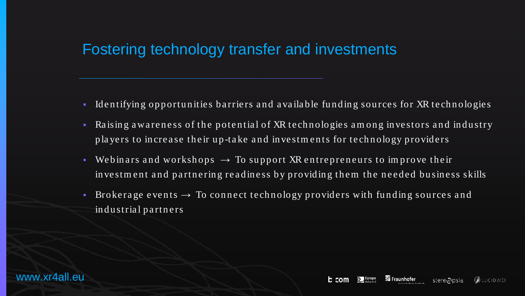### Fostering technology transfer and investments

- Identifying opportunities barriers and available funding sources for XR technologies
- Raising awareness of the potential of XR technologies among investors and industry players to increase their up-take and investments for technology providers
- We bin ars and workshops  $\rightarrow$  To support XR entrepreneurs to improve their in ve stm ent and partnering readiness by providing them the needed business skills
- Brokerage events  $\rightarrow$  To connect technology providers with funding sources and in du strial partners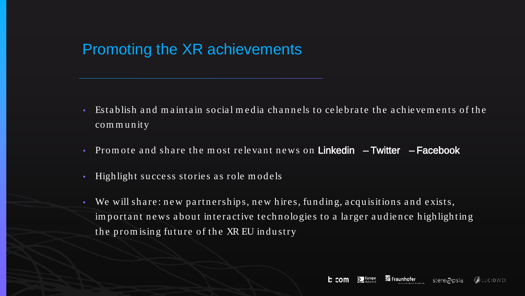#### Promoting the XR achievements

- Establish and maintain social media channels to celebrate the achievements of the com m u n ity
- Promote and share the most relevant news on Linkedin Twitter Facebook
- High light success stories as role models
- We will share: new partnerships, new hires, funding, acquisitions and exists, im portant news about interactive technologies to a larger audience highlighting the promising future of the XR EU industry